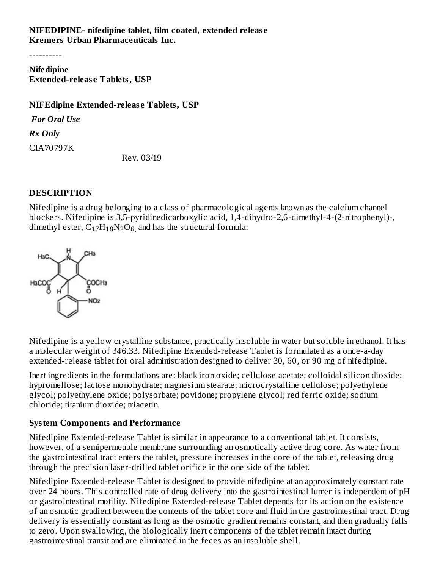**NIFEDIPINE- nifedipine tablet, film coated, extended releas e Kremers Urban Pharmaceuticals Inc.**

----------

**Nifedipine Extended-releas e Tablets, USP**

**NIFEdipine Extended-releas e Tablets, USP**

*For Oral Use*

*Rx Only*

CIA70797K

Rev. 03/19

#### **DESCRIPTION**

Nifedipine is a drug belonging to a class of pharmacological agents known as the calcium channel blockers. Nifedipine is 3,5-pyridinedicarboxylic acid, 1,4-dihydro-2,6-dimethyl-4-(2-nitrophenyl)-, dimethyl ester,  $C_{17}H_{18}N_2O_6$ , and has the structural formula:



Nifedipine is a yellow crystalline substance, practically insoluble in water but soluble in ethanol. It has a molecular weight of 346.33. Nifedipine Extended-release Tablet is formulated as a once-a-day extended-release tablet for oral administration designed to deliver 30, 60, or 90 mg of nifedipine.

Inert ingredients in the formulations are: black iron oxide; cellulose acetate; colloidal silicon dioxide; hypromellose; lactose monohydrate; magnesium stearate; microcrystalline cellulose; polyethylene glycol; polyethylene oxide; polysorbate; povidone; propylene glycol; red ferric oxide; sodium chloride; titanium dioxide; triacetin.

#### **System Components and Performance**

Nifedipine Extended-release Tablet is similar in appearance to a conventional tablet. It consists, however, of a semipermeable membrane surrounding an osmotically active drug core. As water from the gastrointestinal tract enters the tablet, pressure increases in the core of the tablet, releasing drug through the precision laser-drilled tablet orifice in the one side of the tablet.

Nifedipine Extended-release Tablet is designed to provide nifedipine at an approximately constant rate over 24 hours. This controlled rate of drug delivery into the gastrointestinal lumen is independent of pH or gastrointestinal motility. Nifedipine Extended-release Tablet depends for its action on the existence of an osmotic gradient between the contents of the tablet core and fluid in the gastrointestinal tract. Drug delivery is essentially constant as long as the osmotic gradient remains constant, and then gradually falls to zero. Upon swallowing, the biologically inert components of the tablet remain intact during gastrointestinal transit and are eliminated in the feces as an insoluble shell.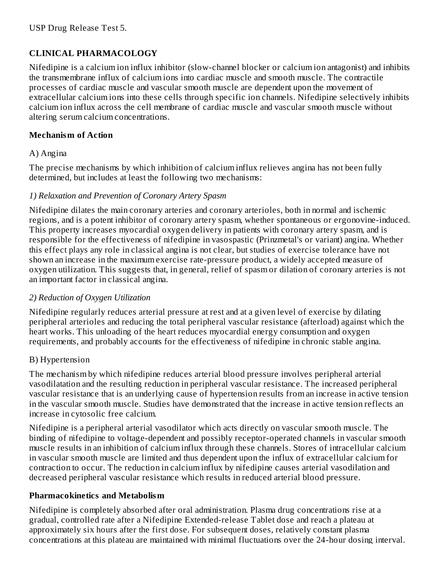## **CLINICAL PHARMACOLOGY**

Nifedipine is a calcium ion influx inhibitor (slow-channel blocker or calcium ion antagonist) and inhibits the transmembrane influx of calcium ions into cardiac muscle and smooth muscle. The contractile processes of cardiac muscle and vascular smooth muscle are dependent upon the movement of extracellular calcium ions into these cells through specific ion channels. Nifedipine selectively inhibits calcium ion influx across the cell membrane of cardiac muscle and vascular smooth muscle without altering serum calcium concentrations.

#### **Mechanism of Action**

### A) Angina

The precise mechanisms by which inhibition of calcium influx relieves angina has not been fully determined, but includes at least the following two mechanisms:

### *1) Relaxation and Prevention of Coronary Artery Spasm*

Nifedipine dilates the main coronary arteries and coronary arterioles, both in normal and ischemic regions, and is a potent inhibitor of coronary artery spasm, whether spontaneous or ergonovine-induced. This property increases myocardial oxygen delivery in patients with coronary artery spasm, and is responsible for the effectiveness of nifedipine in vasospastic (Prinzmetal's or variant) angina. Whether this effect plays any role in classical angina is not clear, but studies of exercise tolerance have not shown an increase in the maximum exercise rate-pressure product, a widely accepted measure of oxygen utilization. This suggests that, in general, relief of spasm or dilation of coronary arteries is not an important factor in classical angina.

### *2) Reduction of Oxygen Utilization*

Nifedipine regularly reduces arterial pressure at rest and at a given level of exercise by dilating peripheral arterioles and reducing the total peripheral vascular resistance (afterload) against which the heart works. This unloading of the heart reduces myocardial energy consumption and oxygen requirements, and probably accounts for the effectiveness of nifedipine in chronic stable angina.

### B) Hypertension

The mechanism by which nifedipine reduces arterial blood pressure involves peripheral arterial vasodilatation and the resulting reduction in peripheral vascular resistance. The increased peripheral vascular resistance that is an underlying cause of hypertension results from an increase in active tension in the vascular smooth muscle. Studies have demonstrated that the increase in active tension reflects an increase in cytosolic free calcium.

Nifedipine is a peripheral arterial vasodilator which acts directly on vascular smooth muscle. The binding of nifedipine to voltage-dependent and possibly receptor-operated channels in vascular smooth muscle results in an inhibition of calcium influx through these channels. Stores of intracellular calcium in vascular smooth muscle are limited and thus dependent upon the influx of extracellular calcium for contraction to occur. The reduction in calcium influx by nifedipine causes arterial vasodilation and decreased peripheral vascular resistance which results in reduced arterial blood pressure.

### **Pharmacokinetics and Metabolism**

Nifedipine is completely absorbed after oral administration. Plasma drug concentrations rise at a gradual, controlled rate after a Nifedipine Extended-release Tablet dose and reach a plateau at approximately six hours after the first dose. For subsequent doses, relatively constant plasma concentrations at this plateau are maintained with minimal fluctuations over the 24-hour dosing interval.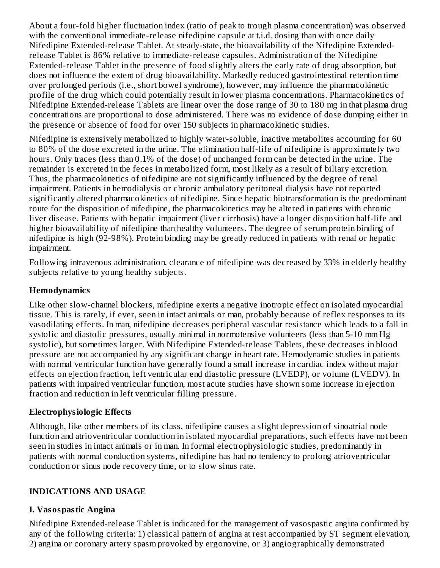About a four-fold higher fluctuation index (ratio of peak to trough plasma concentration) was observed with the conventional immediate-release nifedipine capsule at t.i.d. dosing than with once daily Nifedipine Extended-release Tablet. At steady-state, the bioavailability of the Nifedipine Extendedrelease Tablet is 86% relative to immediate-release capsules. Administration of the Nifedipine Extended-release Tablet in the presence of food slightly alters the early rate of drug absorption, but does not influence the extent of drug bioavailability. Markedly reduced gastrointestinal retention time over prolonged periods (i.e., short bowel syndrome), however, may influence the pharmacokinetic profile of the drug which could potentially result in lower plasma concentrations. Pharmacokinetics of Nifedipine Extended-release Tablets are linear over the dose range of 30 to 180 mg in that plasma drug concentrations are proportional to dose administered. There was no evidence of dose dumping either in the presence or absence of food for over 150 subjects in pharmacokinetic studies.

Nifedipine is extensively metabolized to highly water-soluble, inactive metabolites accounting for 60 to 80% of the dose excreted in the urine. The elimination half-life of nifedipine is approximately two hours. Only traces (less than 0.1% of the dose) of unchanged form can be detected in the urine. The remainder is excreted in the feces in metabolized form, most likely as a result of biliary excretion. Thus, the pharmacokinetics of nifedipine are not significantly influenced by the degree of renal impairment. Patients in hemodialysis or chronic ambulatory peritoneal dialysis have not reported significantly altered pharmacokinetics of nifedipine. Since hepatic biotransformation is the predominant route for the disposition of nifedipine, the pharmacokinetics may be altered in patients with chronic liver disease. Patients with hepatic impairment (liver cirrhosis) have a longer disposition half-life and higher bioavailability of nifedipine than healthy volunteers. The degree of serum protein binding of nifedipine is high (92-98%). Protein binding may be greatly reduced in patients with renal or hepatic impairment.

Following intravenous administration, clearance of nifedipine was decreased by 33% in elderly healthy subjects relative to young healthy subjects.

#### **Hemodynamics**

Like other slow-channel blockers, nifedipine exerts a negative inotropic effect on isolated myocardial tissue. This is rarely, if ever, seen in intact animals or man, probably because of reflex responses to its vasodilating effects. In man, nifedipine decreases peripheral vascular resistance which leads to a fall in systolic and diastolic pressures, usually minimal in normotensive volunteers (less than 5-10 mm Hg systolic), but sometimes larger. With Nifedipine Extended-release Tablets, these decreases in blood pressure are not accompanied by any significant change in heart rate. Hemodynamic studies in patients with normal ventricular function have generally found a small increase in cardiac index without major effects on ejection fraction, left ventricular end diastolic pressure (LVEDP), or volume (LVEDV). In patients with impaired ventricular function, most acute studies have shown some increase in ejection fraction and reduction in left ventricular filling pressure.

#### **Electrophysiologic Effects**

Although, like other members of its class, nifedipine causes a slight depression of sinoatrial node function and atrioventricular conduction in isolated myocardial preparations, such effects have not been seen in studies in intact animals or in man. In formal electrophysiologic studies, predominantly in patients with normal conduction systems, nifedipine has had no tendency to prolong atrioventricular conduction or sinus node recovery time, or to slow sinus rate.

### **INDICATIONS AND USAGE**

### **I. Vasospastic Angina**

Nifedipine Extended-release Tablet is indicated for the management of vasospastic angina confirmed by any of the following criteria: 1) classical pattern of angina at rest accompanied by ST segment elevation, 2) angina or coronary artery spasm provoked by ergonovine, or 3) angiographically demonstrated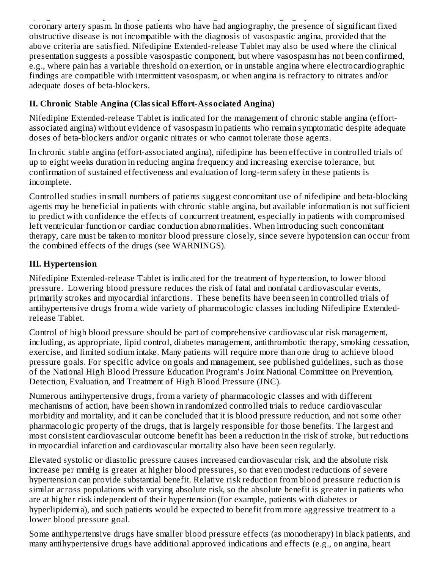2) angina or coronary artery spasm provoked by ergonovine, or 3) angiographically demonstrated coronary artery spasm. In those patients who have had angiography, the presence of significant fixed obstructive disease is not incompatible with the diagnosis of vasospastic angina, provided that the above criteria are satisfied. Nifedipine Extended-release Tablet may also be used where the clinical presentation suggests a possible vasospastic component, but where vasospasm has not been confirmed, e.g., where pain has a variable threshold on exertion, or in unstable angina where electrocardiographic findings are compatible with intermittent vasospasm, or when angina is refractory to nitrates and/or adequate doses of beta-blockers.

### **II. Chronic Stable Angina (Classical Effort-Associated Angina)**

Nifedipine Extended-release Tablet is indicated for the management of chronic stable angina (effortassociated angina) without evidence of vasospasm in patients who remain symptomatic despite adequate doses of beta-blockers and/or organic nitrates or who cannot tolerate those agents.

In chronic stable angina (effort-associated angina), nifedipine has been effective in controlled trials of up to eight weeks duration in reducing angina frequency and increasing exercise tolerance, but confirmation of sustained effectiveness and evaluation of long-term safety in these patients is incomplete.

Controlled studies in small numbers of patients suggest concomitant use of nifedipine and beta-blocking agents may be beneficial in patients with chronic stable angina, but available information is not sufficient to predict with confidence the effects of concurrent treatment, especially in patients with compromised left ventricular function or cardiac conduction abnormalities. When introducing such concomitant therapy, care must be taken to monitor blood pressure closely, since severe hypotension can occur from the combined effects of the drugs (see WARNINGS).

## **III. Hypertension**

Nifedipine Extended-release Tablet is indicated for the treatment of hypertension, to lower blood pressure. Lowering blood pressure reduces the risk of fatal and nonfatal cardiovascular events, primarily strokes and myocardial infarctions. These benefits have been seen in controlled trials of antihypertensive drugs from a wide variety of pharmacologic classes including Nifedipine Extendedrelease Tablet.

Control of high blood pressure should be part of comprehensive cardiovascular risk management, including, as appropriate, lipid control, diabetes management, antithrombotic therapy, smoking cessation, exercise, and limited sodium intake. Many patients will require more than one drug to achieve blood pressure goals. For specific advice on goals and management, see published guidelines, such as those of the National High Blood Pressure Education Program's Joint National Committee on Prevention, Detection, Evaluation, and Treatment of High Blood Pressure (JNC).

Numerous antihypertensive drugs, from a variety of pharmacologic classes and with different mechanisms of action, have been shown in randomized controlled trials to reduce cardiovascular morbidity and mortality, and it can be concluded that it is blood pressure reduction, and not some other pharmacologic property of the drugs, that is largely responsible for those benefits. The largest and most consistent cardiovascular outcome benefit has been a reduction in the risk of stroke, but reductions in myocardial infarction and cardiovascular mortality also have been seen regularly.

Elevated systolic or diastolic pressure causes increased cardiovascular risk, and the absolute risk increase per mmHg is greater at higher blood pressures, so that even modest reductions of severe hypertension can provide substantial benefit. Relative risk reduction from blood pressure reduction is similar across populations with varying absolute risk, so the absolute benefit is greater in patients who are at higher risk independent of their hypertension (for example, patients with diabetes or hyperlipidemia), and such patients would be expected to benefit from more aggressive treatment to a lower blood pressure goal.

Some antihypertensive drugs have smaller blood pressure effects (as monotherapy) in black patients, and many antihypertensive drugs have additional approved indications and effects (e.g., on angina, heart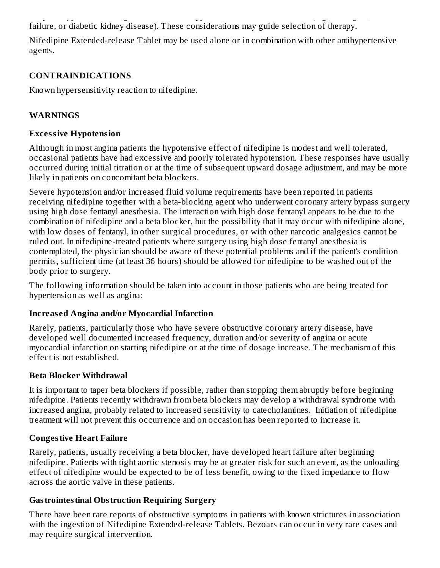many antihypertensive drugs have additional approved indications and effects (e.g., on angina, heart failure, or diabetic kidney disease). These considerations may guide selection of therapy.

Nifedipine Extended-release Tablet may be used alone or in combination with other antihypertensive agents.

### **CONTRAINDICATIONS**

Known hypersensitivity reaction to nifedipine.

# **WARNINGS**

## **Excessive Hypotension**

Although in most angina patients the hypotensive effect of nifedipine is modest and well tolerated, occasional patients have had excessive and poorly tolerated hypotension. These responses have usually occurred during initial titration or at the time of subsequent upward dosage adjustment, and may be more likely in patients on concomitant beta blockers.

Severe hypotension and/or increased fluid volume requirements have been reported in patients receiving nifedipine together with a beta-blocking agent who underwent coronary artery bypass surgery using high dose fentanyl anesthesia. The interaction with high dose fentanyl appears to be due to the combination of nifedipine and a beta blocker, but the possibility that it may occur with nifedipine alone, with low doses of fentanyl, in other surgical procedures, or with other narcotic analgesics cannot be ruled out. In nifedipine-treated patients where surgery using high dose fentanyl anesthesia is contemplated, the physician should be aware of these potential problems and if the patient's condition permits, sufficient time (at least 36 hours) should be allowed for nifedipine to be washed out of the body prior to surgery.

The following information should be taken into account in those patients who are being treated for hypertension as well as angina:

# **Increas ed Angina and/or Myocardial Infarction**

Rarely, patients, particularly those who have severe obstructive coronary artery disease, have developed well documented increased frequency, duration and/or severity of angina or acute myocardial infarction on starting nifedipine or at the time of dosage increase. The mechanism of this effect is not established.

# **Beta Blocker Withdrawal**

It is important to taper beta blockers if possible, rather than stopping them abruptly before beginning nifedipine. Patients recently withdrawn from beta blockers may develop a withdrawal syndrome with increased angina, probably related to increased sensitivity to catecholamines. Initiation of nifedipine treatment will not prevent this occurrence and on occasion has been reported to increase it.

# **Congestive Heart Failure**

Rarely, patients, usually receiving a beta blocker, have developed heart failure after beginning nifedipine. Patients with tight aortic stenosis may be at greater risk for such an event, as the unloading effect of nifedipine would be expected to be of less benefit, owing to the fixed impedance to flow across the aortic valve in these patients.

# **Gastrointestinal Obstruction Requiring Surgery**

There have been rare reports of obstructive symptoms in patients with known strictures in association with the ingestion of Nifedipine Extended-release Tablets. Bezoars can occur in very rare cases and may require surgical intervention.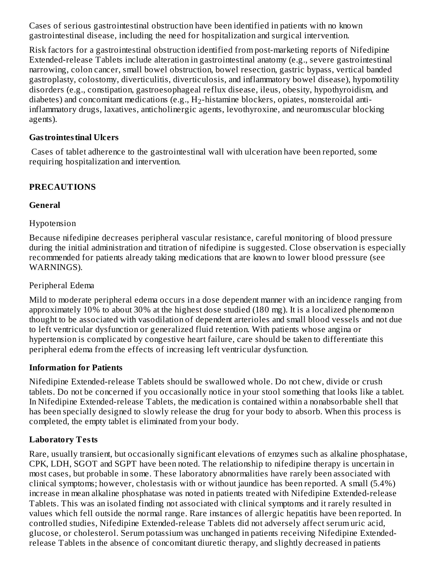Cases of serious gastrointestinal obstruction have been identified in patients with no known gastrointestinal disease, including the need for hospitalization and surgical intervention.

Risk factors for a gastrointestinal obstruction identified from post-marketing reports of Nifedipine Extended-release Tablets include alteration in gastrointestinal anatomy (e.g., severe gastrointestinal narrowing, colon cancer, small bowel obstruction, bowel resection, gastric bypass, vertical banded gastroplasty, colostomy, diverticulitis, diverticulosis, and inflammatory bowel disease), hypomotility disorders (e.g., constipation, gastroesophageal reflux disease, ileus, obesity, hypothyroidism, and diabetes) and concomitant medications (e.g.,  $\rm H_2$ -histamine blockers, opiates, nonsteroidal antiinflammatory drugs, laxatives, anticholinergic agents, levothyroxine, and neuromuscular blocking agents).

#### **Gastrointestinal Ulcers**

Cases of tablet adherence to the gastrointestinal wall with ulceration have been reported, some requiring hospitalization and intervention.

### **PRECAUTIONS**

#### **General**

#### Hypotension

Because nifedipine decreases peripheral vascular resistance, careful monitoring of blood pressure during the initial administration and titration of nifedipine is suggested. Close observation is especially recommended for patients already taking medications that are known to lower blood pressure (see WARNINGS).

#### Peripheral Edema

Mild to moderate peripheral edema occurs in a dose dependent manner with an incidence ranging from approximately 10% to about 30% at the highest dose studied (180 mg). It is a localized phenomenon thought to be associated with vasodilation of dependent arterioles and small blood vessels and not due to left ventricular dysfunction or generalized fluid retention. With patients whose angina or hypertension is complicated by congestive heart failure, care should be taken to differentiate this peripheral edema from the effects of increasing left ventricular dysfunction.

#### **Information for Patients**

Nifedipine Extended-release Tablets should be swallowed whole. Do not chew, divide or crush tablets. Do not be concerned if you occasionally notice in your stool something that looks like a tablet. In Nifedipine Extended-release Tablets, the medication is contained within a nonabsorbable shell that has been specially designed to slowly release the drug for your body to absorb. When this process is completed, the empty tablet is eliminated from your body.

### **Laboratory Tests**

Rare, usually transient, but occasionally significant elevations of enzymes such as alkaline phosphatase, CPK, LDH, SGOT and SGPT have been noted. The relationship to nifedipine therapy is uncertain in most cases, but probable in some. These laboratory abnormalities have rarely been associated with clinical symptoms; however, cholestasis with or without jaundice has been reported. A small (5.4%) increase in mean alkaline phosphatase was noted in patients treated with Nifedipine Extended-release Tablets. This was an isolated finding not associated with clinical symptoms and it rarely resulted in values which fell outside the normal range. Rare instances of allergic hepatitis have been reported. In controlled studies, Nifedipine Extended-release Tablets did not adversely affect serum uric acid, glucose, or cholesterol. Serum potassium was unchanged in patients receiving Nifedipine Extendedrelease Tablets in the absence of concomitant diuretic therapy, and slightly decreased in patients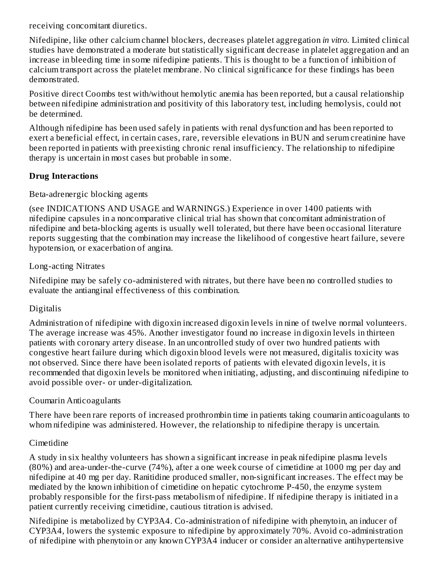receiving concomitant diuretics.

Nifedipine, like other calcium channel blockers, decreases platelet aggregation *in vitro.* Limited clinical studies have demonstrated a moderate but statistically significant decrease in platelet aggregation and an increase in bleeding time in some nifedipine patients. This is thought to be a function of inhibition of calcium transport across the platelet membrane. No clinical significance for these findings has been demonstrated.

Positive direct Coombs test with/without hemolytic anemia has been reported, but a causal relationship between nifedipine administration and positivity of this laboratory test, including hemolysis, could not be determined.

Although nifedipine has been used safely in patients with renal dysfunction and has been reported to exert a beneficial effect, in certain cases, rare, reversible elevations in BUN and serum creatinine have been reported in patients with preexisting chronic renal insufficiency. The relationship to nifedipine therapy is uncertain in most cases but probable in some.

#### **Drug Interactions**

#### Beta-adrenergic blocking agents

(see INDICATIONS AND USAGE and WARNINGS.) Experience in over 1400 patients with nifedipine capsules in a noncomparative clinical trial has shown that concomitant administration of nifedipine and beta-blocking agents is usually well tolerated, but there have been occasional literature reports suggesting that the combination may increase the likelihood of congestive heart failure, severe hypotension, or exacerbation of angina.

#### Long-acting Nitrates

Nifedipine may be safely co-administered with nitrates, but there have been no controlled studies to evaluate the antianginal effectiveness of this combination.

### Digitalis

Administration of nifedipine with digoxin increased digoxin levels in nine of twelve normal volunteers. The average increase was 45%. Another investigator found no increase in digoxin levels in thirteen patients with coronary artery disease. In an uncontrolled study of over two hundred patients with congestive heart failure during which digoxin blood levels were not measured, digitalis toxicity was not observed. Since there have been isolated reports of patients with elevated digoxin levels, it is recommended that digoxin levels be monitored when initiating, adjusting, and discontinuing nifedipine to avoid possible over- or under-digitalization.

### Coumarin Anticoagulants

There have been rare reports of increased prothrombin time in patients taking coumarin anticoagulants to whom nifedipine was administered. However, the relationship to nifedipine therapy is uncertain.

### Cimetidine

A study in six healthy volunteers has shown a significant increase in peak nifedipine plasma levels (80%) and area-under-the-curve (74%), after a one week course of cimetidine at 1000 mg per day and nifedipine at 40 mg per day. Ranitidine produced smaller, non-significant increases. The effect may be mediated by the known inhibition of cimetidine on hepatic cytochrome P-450, the enzyme system probably responsible for the first-pass metabolism of nifedipine. If nifedipine therapy is initiated in a patient currently receiving cimetidine, cautious titration is advised.

Nifedipine is metabolized by CYP3A4. Co-administration of nifedipine with phenytoin, an inducer of CYP3A4, lowers the systemic exposure to nifedipine by approximately 70%. Avoid co-administration of nifedipine with phenytoin or any known CYP3A4 inducer or consider an alternative antihypertensive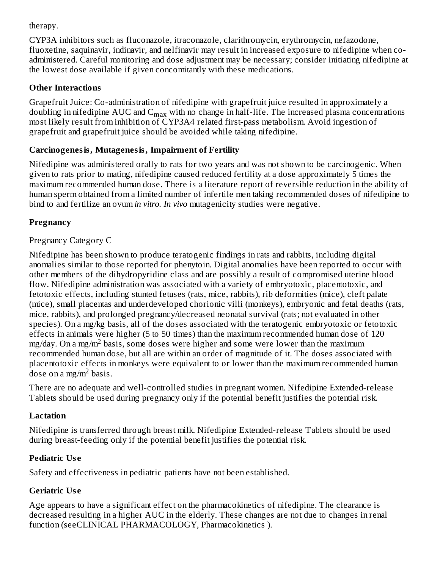#### therapy.

CYP3A inhibitors such as fluconazole, itraconazole, clarithromycin, erythromycin, nefazodone, fluoxetine, saquinavir, indinavir, and nelfinavir may result in increased exposure to nifedipine when coadministered. Careful monitoring and dose adjustment may be necessary; consider initiating nifedipine at the lowest dose available if given concomitantly with these medications.

## **Other Interactions**

Grapefruit Juice: Co-administration of nifedipine with grapefruit juice resulted in approximately a doubling in nifedipine AUC and  $\mathsf{C}_{\max}$  with no change in half-life. The increased plasma concentrations most likely result from inhibition of CYP3A4 related first-pass metabolism. Avoid ingestion of grapefruit and grapefruit juice should be avoided while taking nifedipine.

## **Carcinogenesis, Mutagenesis, Impairment of Fertility**

Nifedipine was administered orally to rats for two years and was not shown to be carcinogenic. When given to rats prior to mating, nifedipine caused reduced fertility at a dose approximately 5 times the maximum recommended human dose. There is a literature report of reversible reduction in the ability of human sperm obtained from a limited number of infertile men taking recommended doses of nifedipine to bind to and fertilize an ovum *in vitro. In vivo* mutagenicity studies were negative.

## **Pregnancy**

## Pregnancy Category C

Nifedipine has been shown to produce teratogenic findings in rats and rabbits, including digital anomalies similar to those reported for phenytoin. Digital anomalies have been reported to occur with other members of the dihydropyridine class and are possibly a result of compromised uterine blood flow. Nifedipine administration was associated with a variety of embryotoxic, placentotoxic, and fetotoxic effects, including stunted fetuses (rats, mice, rabbits), rib deformities (mice), cleft palate (mice), small placentas and underdeveloped chorionic villi (monkeys), embryonic and fetal deaths (rats, mice, rabbits), and prolonged pregnancy/decreased neonatal survival (rats; not evaluated in other species). On a mg/kg basis, all of the doses associated with the teratogenic embryotoxic or fetotoxic effects in animals were higher (5 to 50 times) than the maximum recommended human dose of 120 mg/day. On a mg/m<sup>2</sup> basis, some doses were higher and some were lower than the maximum recommended human dose, but all are within an order of magnitude of it. The doses associated with placentotoxic effects in monkeys were equivalent to or lower than the maximum recommended human dose on a mg/m<sup>2</sup> basis.

There are no adequate and well-controlled studies in pregnant women. Nifedipine Extended-release Tablets should be used during pregnancy only if the potential benefit justifies the potential risk.

## **Lactation**

Nifedipine is transferred through breast milk. Nifedipine Extended-release Tablets should be used during breast-feeding only if the potential benefit justifies the potential risk.

## **Pediatric Us e**

Safety and effectiveness in pediatric patients have not been established.

## **Geriatric Us e**

Age appears to have a significant effect on the pharmacokinetics of nifedipine. The clearance is decreased resulting in a higher AUC in the elderly. These changes are not due to changes in renal function (seeCLINICAL PHARMACOLOGY, Pharmacokinetics ).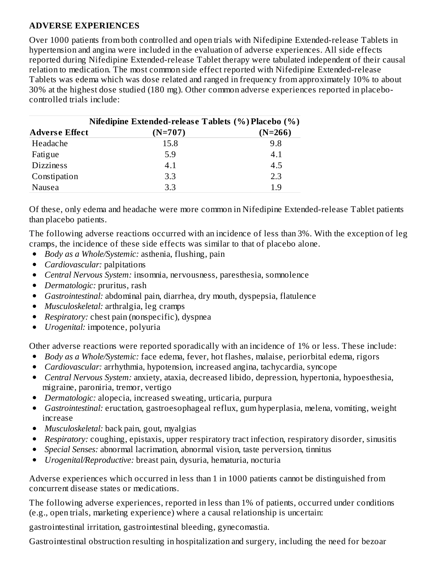#### **ADVERSE EXPERIENCES**

Over 1000 patients from both controlled and open trials with Nifedipine Extended-release Tablets in hypertension and angina were included in the evaluation of adverse experiences. All side effects reported during Nifedipine Extended-release Tablet therapy were tabulated independent of their causal relation to medication. The most common side effect reported with Nifedipine Extended-release Tablets was edema which was dose related and ranged in frequency from approximately 10% to about 30% at the highest dose studied (180 mg). Other common adverse experiences reported in placebocontrolled trials include:

| Nifedipine Extended-release Tablets (%) Placebo (%) |           |           |  |
|-----------------------------------------------------|-----------|-----------|--|
| <b>Adverse Effect</b>                               | $(N=707)$ | $(N=266)$ |  |
| Headache                                            | 15.8      | 9.8       |  |
| Fatigue                                             | 5.9       | 4.1       |  |
| <b>Dizziness</b>                                    | 4.1       | 4.5       |  |
| Constipation                                        | 3.3       | 2.3       |  |
| Nausea                                              | 3.3       | 1.9       |  |

Of these, only edema and headache were more common in Nifedipine Extended-release Tablet patients than placebo patients.

The following adverse reactions occurred with an incidence of less than 3%. With the exception of leg cramps, the incidence of these side effects was similar to that of placebo alone.

- *Body as a Whole/Systemic:* asthenia, flushing, pain
- *Cardiovascular:* palpitations
- *Central Nervous System:* insomnia, nervousness, paresthesia, somnolence
- *Dermatologic:* pruritus, rash
- *Gastrointestinal:* abdominal pain, diarrhea, dry mouth, dyspepsia, flatulence
- *Musculoskeletal:* arthralgia, leg cramps
- *Respiratory:* chest pain (nonspecific), dyspnea
- *Urogenital:* impotence, polyuria

Other adverse reactions were reported sporadically with an incidence of 1% or less. These include:

- *Body as a Whole/Systemic:* face edema, fever, hot flashes, malaise, periorbital edema, rigors
- *Cardiovascular:* arrhythmia, hypotension, increased angina, tachycardia, syncope
- *Central Nervous System:* anxiety, ataxia, decreased libido, depression, hypertonia, hypoesthesia, migraine, paroniria, tremor, vertigo
- *Dermatologic:* alopecia, increased sweating, urticaria, purpura
- *Gastrointestinal:* eructation, gastroesophageal reflux, gum hyperplasia, melena, vomiting, weight increase
- *Musculoskeletal:* back pain, gout, myalgias
- *Respiratory:* coughing, epistaxis, upper respiratory tract infection, respiratory disorder, sinusitis
- *Special Senses:* abnormal lacrimation, abnormal vision, taste perversion, tinnitus  $\bullet$
- *Urogenital/Reproductive:* breast pain, dysuria, hematuria, nocturia  $\bullet$

Adverse experiences which occurred in less than 1 in 1000 patients cannot be distinguished from concurrent disease states or medications.

The following adverse experiences, reported in less than 1% of patients, occurred under conditions (e.g., open trials, marketing experience) where a causal relationship is uncertain:

gastrointestinal irritation, gastrointestinal bleeding, gynecomastia.

Gastrointestinal obstruction resulting in hospitalization and surgery, including the need for bezoar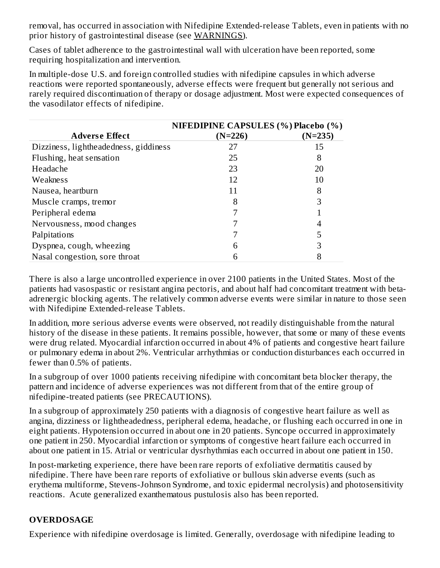removal, has occurred in association with Nifedipine Extended-release Tablets, even in patients with no prior history of gastrointestinal disease (see WARNINGS).

Cases of tablet adherence to the gastrointestinal wall with ulceration have been reported, some requiring hospitalization and intervention.

In multiple-dose U.S. and foreign controlled studies with nifedipine capsules in which adverse reactions were reported spontaneously, adverse effects were frequent but generally not serious and rarely required discontinuation of therapy or dosage adjustment. Most were expected consequences of the vasodilator effects of nifedipine.

|                                       | <b>NIFEDIPINE CAPSULES (%) Placebo (%)</b> |         |
|---------------------------------------|--------------------------------------------|---------|
| <b>Adverse Effect</b>                 | $(N=226)$                                  | (N=235) |
| Dizziness, lightheadedness, giddiness | 27                                         | 15      |
| Flushing, heat sensation              | 25                                         | 8       |
| Headache                              | 23                                         | 20      |
| Weakness                              | 12                                         | 10      |
| Nausea, heartburn                     | 11                                         | 8       |
| Muscle cramps, tremor                 | 8                                          | 3       |
| Peripheral edema                      | 7                                          |         |
| Nervousness, mood changes             | 7                                          | 4       |
| Palpitations                          | 7                                          | 5       |
| Dyspnea, cough, wheezing              | 6                                          | 3       |
| Nasal congestion, sore throat         | 6                                          | 8       |

There is also a large uncontrolled experience in over 2100 patients in the United States. Most of the patients had vasospastic or resistant angina pectoris, and about half had concomitant treatment with betaadrenergic blocking agents. The relatively common adverse events were similar in nature to those seen with Nifedipine Extended-release Tablets.

In addition, more serious adverse events were observed, not readily distinguishable from the natural history of the disease in these patients. It remains possible, however, that some or many of these events were drug related. Myocardial infarction occurred in about 4% of patients and congestive heart failure or pulmonary edema in about 2%. Ventricular arrhythmias or conduction disturbances each occurred in fewer than 0.5% of patients.

In a subgroup of over 1000 patients receiving nifedipine with concomitant beta blocker therapy, the pattern and incidence of adverse experiences was not different from that of the entire group of nifedipine-treated patients (see PRECAUTIONS).

In a subgroup of approximately 250 patients with a diagnosis of congestive heart failure as well as angina, dizziness or lightheadedness, peripheral edema, headache, or flushing each occurred in one in eight patients. Hypotension occurred in about one in 20 patients. Syncope occurred in approximately one patient in 250. Myocardial infarction or symptoms of congestive heart failure each occurred in about one patient in 15. Atrial or ventricular dysrhythmias each occurred in about one patient in 150.

In post-marketing experience, there have been rare reports of exfoliative dermatitis caused by nifedipine. There have been rare reports of exfoliative or bullous skin adverse events (such as erythema multiforme, Stevens-Johnson Syndrome, and toxic epidermal necrolysis) and photosensitivity reactions. Acute generalized exanthematous pustulosis also has been reported.

### **OVERDOSAGE**

Experience with nifedipine overdosage is limited. Generally, overdosage with nifedipine leading to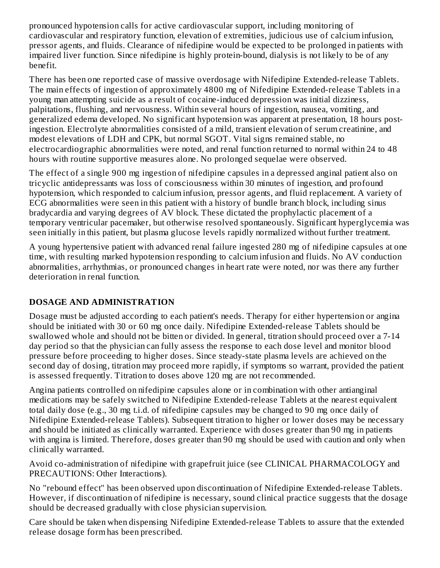pronounced hypotension calls for active cardiovascular support, including monitoring of cardiovascular and respiratory function, elevation of extremities, judicious use of calcium infusion, pressor agents, and fluids. Clearance of nifedipine would be expected to be prolonged in patients with impaired liver function. Since nifedipine is highly protein-bound, dialysis is not likely to be of any benefit.

There has been one reported case of massive overdosage with Nifedipine Extended-release Tablets. The main effects of ingestion of approximately 4800 mg of Nifedipine Extended-release Tablets in a young man attempting suicide as a result of cocaine-induced depression was initial dizziness, palpitations, flushing, and nervousness. Within several hours of ingestion, nausea, vomiting, and generalized edema developed. No significant hypotension was apparent at presentation, 18 hours postingestion. Electrolyte abnormalities consisted of a mild, transient elevation of serum creatinine, and modest elevations of LDH and CPK, but normal SGOT. Vital signs remained stable, no electrocardiographic abnormalities were noted, and renal function returned to normal within 24 to 48 hours with routine supportive measures alone. No prolonged sequelae were observed.

The effect of a single 900 mg ingestion of nifedipine capsules in a depressed anginal patient also on tricyclic antidepressants was loss of consciousness within 30 minutes of ingestion, and profound hypotension, which responded to calcium infusion, pressor agents, and fluid replacement. A variety of ECG abnormalities were seen in this patient with a history of bundle branch block, including sinus bradycardia and varying degrees of AV block. These dictated the prophylactic placement of a temporary ventricular pacemaker, but otherwise resolved spontaneously. Significant hyperglycemia was seen initially in this patient, but plasma glucose levels rapidly normalized without further treatment.

A young hypertensive patient with advanced renal failure ingested 280 mg of nifedipine capsules at one time, with resulting marked hypotension responding to calcium infusion and fluids. No AV conduction abnormalities, arrhythmias, or pronounced changes in heart rate were noted, nor was there any further deterioration in renal function.

## **DOSAGE AND ADMINISTRATION**

Dosage must be adjusted according to each patient's needs. Therapy for either hypertension or angina should be initiated with 30 or 60 mg once daily. Nifedipine Extended-release Tablets should be swallowed whole and should not be bitten or divided. In general, titration should proceed over a 7-14 day period so that the physician can fully assess the response to each dose level and monitor blood pressure before proceeding to higher doses. Since steady-state plasma levels are achieved on the second day of dosing, titration may proceed more rapidly, if symptoms so warrant, provided the patient is assessed frequently. Titration to doses above 120 mg are not recommended.

Angina patients controlled on nifedipine capsules alone or in combination with other antianginal medications may be safely switched to Nifedipine Extended-release Tablets at the nearest equivalent total daily dose (e.g., 30 mg t.i.d. of nifedipine capsules may be changed to 90 mg once daily of Nifedipine Extended-release Tablets). Subsequent titration to higher or lower doses may be necessary and should be initiated as clinically warranted. Experience with doses greater than 90 mg in patients with angina is limited. Therefore, doses greater than 90 mg should be used with caution and only when clinically warranted.

Avoid co-administration of nifedipine with grapefruit juice (see CLINICAL PHARMACOLOGY and PRECAUTIONS: Other Interactions).

No "rebound effect" has been observed upon discontinuation of Nifedipine Extended-release Tablets. However, if discontinuation of nifedipine is necessary, sound clinical practice suggests that the dosage should be decreased gradually with close physician supervision.

Care should be taken when dispensing Nifedipine Extended-release Tablets to assure that the extended release dosage form has been prescribed.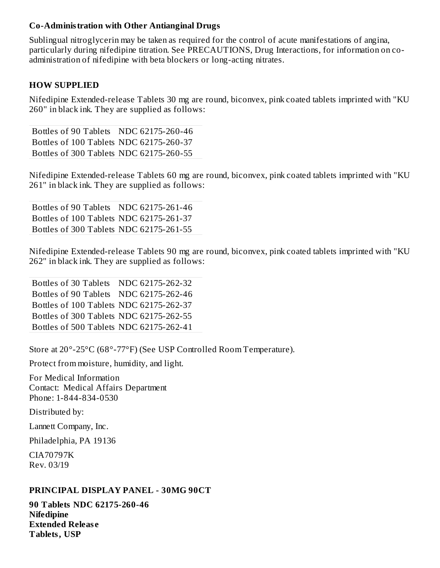#### **Co-Administration with Other Antianginal Drugs**

Sublingual nitroglycerin may be taken as required for the control of acute manifestations of angina, particularly during nifedipine titration. See PRECAUTIONS, Drug Interactions, for information on coadministration of nifedipine with beta blockers or long-acting nitrates.

#### **HOW SUPPLIED**

Nifedipine Extended-release Tablets 30 mg are round, biconvex, pink coated tablets imprinted with "KU 260" in black ink. They are supplied as follows:

Bottles of 90 Tablets NDC 62175-260-46 Bottles of 100 Tablets NDC 62175-260-37 Bottles of 300 Tablets NDC 62175-260-55

Nifedipine Extended-release Tablets 60 mg are round, biconvex, pink coated tablets imprinted with "KU 261" in black ink. They are supplied as follows:

Bottles of 90 Tablets NDC 62175-261-46 Bottles of 100 Tablets NDC 62175-261-37 Bottles of 300 Tablets NDC 62175-261-55

Nifedipine Extended-release Tablets 90 mg are round, biconvex, pink coated tablets imprinted with "KU 262" in black ink. They are supplied as follows:

| Bottles of 30 Tablets NDC 62175-262-32  |  |
|-----------------------------------------|--|
| Bottles of 90 Tablets NDC 62175-262-46  |  |
| Bottles of 100 Tablets NDC 62175-262-37 |  |
| Bottles of 300 Tablets NDC 62175-262-55 |  |
| Bottles of 500 Tablets NDC 62175-262-41 |  |

Store at 20°-25°C (68°-77°F) (See USP Controlled Room Temperature).

Protect from moisture, humidity, and light.

For Medical Information Contact: Medical Affairs Department Phone: 1-844-834-0530

Distributed by:

Lannett Company, Inc.

Philadelphia, PA 19136

CIA70797K Rev. 03/19

#### **PRINCIPAL DISPLAY PANEL - 30MG 90CT**

**90 Tablets NDC 62175-260-46 Nifedipine Extended Releas e Tablets, USP**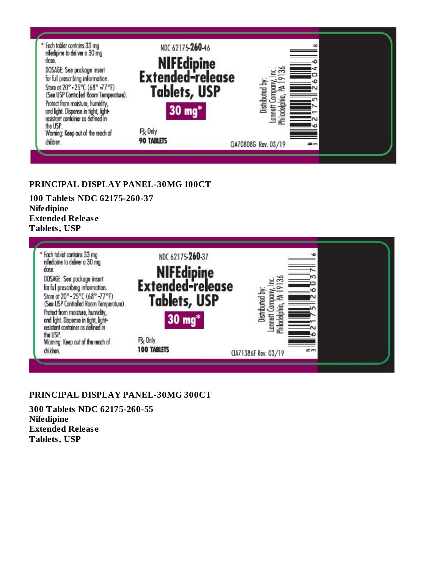

#### **PRINCIPAL DISPLAY PANEL-30MG 100CT**

**100 Tablets NDC 62175-260-37 Nifedipine Extended Releas e Tablets, USP**



#### **PRINCIPAL DISPLAY PANEL-30MG 300CT**

**300 Tablets NDC 62175-260-55 Nifedipine Extended Releas e Tablets, USP**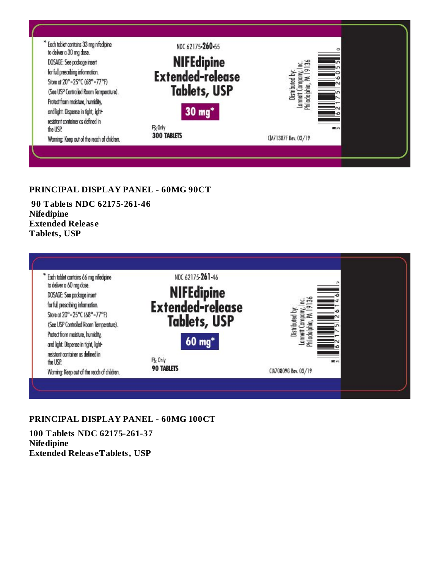

#### **PRINCIPAL DISPLAY PANEL - 60MG 90CT**

**90 Tablets NDC 62175-261-46 Nifedipine Extended Releas e Tablets, USP**

| * Each tablet contains 66 mg nifedipine<br>to deliver a 60 mg dase. | NDC 62175-261-46                        |                          |
|---------------------------------------------------------------------|-----------------------------------------|--------------------------|
| DOSAGE: See package insert                                          | NIFEdipine<br>Extended-re <b>l</b> ease |                          |
| for full prescribing information.                                   |                                         |                          |
| Store at 20°-25°C (68°-77°F)                                        |                                         | Company<br>ಸ್            |
| (See USP Controlled Room Temperature).                              | <b>Tablets, USP</b>                     | Distributed by           |
| Protect from moisture, humidity,                                    |                                         | Philodelphia,<br>Lannett |
| and light. Dispense in tight, light-                                | $60$ mg <sup>*</sup>                    |                          |
| resistant container as defined in<br>the USP.                       | R <sub>x</sub> Only                     | <b>ZEM</b>               |
| Warning: Keep out of the reach of children.                         | <b>90 TABLETS</b>                       | CIA70809G Rev. 03/19     |

#### **PRINCIPAL DISPLAY PANEL - 60MG 100CT**

**100 Tablets NDC 62175-261-37 Nifedipine Extended Releas eTablets, USP**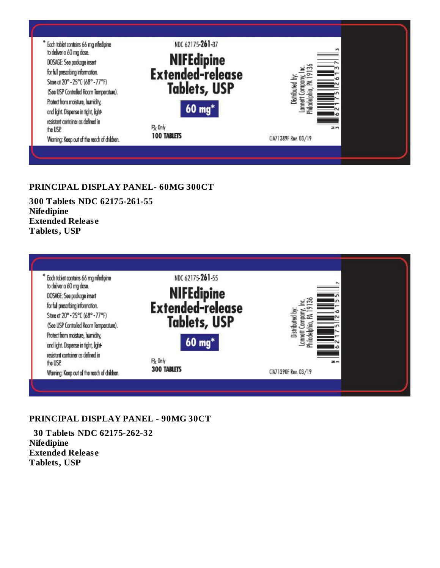

#### **PRINCIPAL DISPLAY PANEL- 60MG 300CT**

**300 Tablets NDC 62175-261-55 Nifedipine Extended Releas e Tablets, USP**

| Each tablet contains 66 mg nifedipine<br>to deliver a 60 mg dose. | NDC 62175 261 55                          |                                  |
|-------------------------------------------------------------------|-------------------------------------------|----------------------------------|
| DOSAGE: See package insert                                        | <b>NIFEdipine</b>                         |                                  |
| for full prescribing information.                                 | <b>Extended-release</b>                   |                                  |
| Store at 20° - 25°C (68° - 77°F)                                  |                                           |                                  |
| (See USP Controlled Room Temperature).                            | <b>Tablets, USP</b>                       | Distributed by<br><b>Company</b> |
| Protect from moisture, humidity,                                  |                                           | Philodelphia,<br>Lannett         |
| and light. Dispense in tight, light-                              | $60$ mg <sup>*</sup>                      |                                  |
| resistant container as defined in                                 |                                           |                                  |
| the USP.                                                          | R <sub>k</sub> Only<br><b>300 TABLETS</b> | æΜ                               |
| Warning: Keep out of the reach of children.                       |                                           | C[A71390F Rev. 03/19             |

#### **PRINCIPAL DISPLAY PANEL - 90MG 30CT**

**30 Tablets NDC 62175-262-32 Nifedipine Extended Releas e Tablets, USP**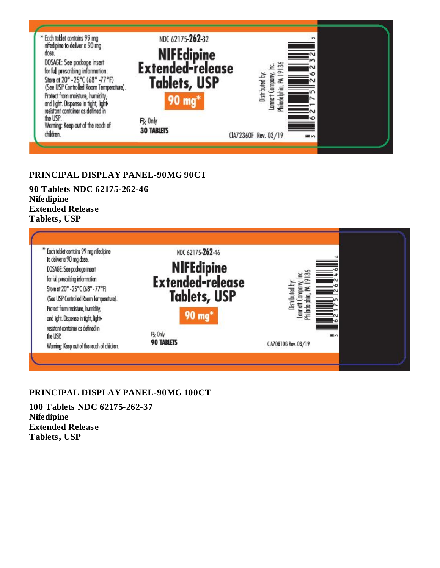

#### **PRINCIPAL DISPLAY PANEL-90MG 90CT**

**90 Tablets NDC 62175-262-46 Nifedipine Extended Releas e Tablets, USP**



#### **PRINCIPAL DISPLAY PANEL-90MG 100CT**

**100 Tablets NDC 62175-262-37 Nifedipine Extended Releas e Tablets, USP**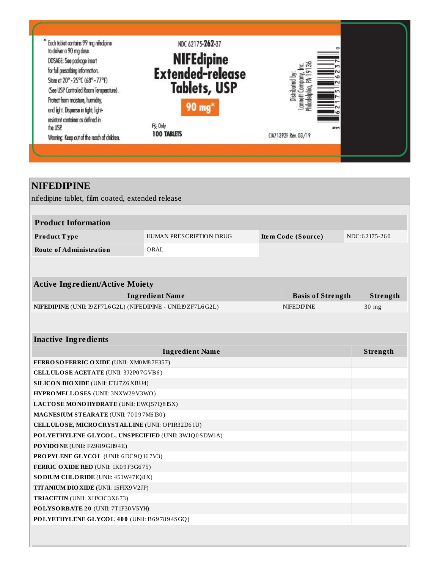

| <b>NIFEDIPINE</b>                                                |                         |  |                          |  |               |
|------------------------------------------------------------------|-------------------------|--|--------------------------|--|---------------|
| nifedipine tablet, film coated, extended release                 |                         |  |                          |  |               |
|                                                                  |                         |  |                          |  |               |
| <b>Product Information</b>                                       |                         |  |                          |  |               |
| Product Type                                                     | HUMAN PRESCRIPTION DRUG |  | Item Code (Source)       |  | NDC:62175-260 |
| <b>Route of Administration</b>                                   | ORAL                    |  |                          |  |               |
|                                                                  |                         |  |                          |  |               |
|                                                                  |                         |  |                          |  |               |
| <b>Active Ingredient/Active Moiety</b>                           |                         |  |                          |  |               |
|                                                                  | <b>Ingredient Name</b>  |  | <b>Basis of Strength</b> |  | Strength      |
| NIFEDIPINE (UNII: 19 ZF7L6 G2L) (NIFEDIPINE - UNII:19 ZF7L6 G2L) |                         |  | <b>NIFEDIPINE</b>        |  | 30 mg         |
|                                                                  |                         |  |                          |  |               |
|                                                                  |                         |  |                          |  |               |
| <b>Inactive Ingredients</b>                                      |                         |  |                          |  |               |
|                                                                  | <b>Ingredient Name</b>  |  |                          |  | Strength      |
| FERROSOFERRIC OXIDE (UNII: XM0 M8 7F357)                         |                         |  |                          |  |               |
| <b>CELLULOSE ACETATE (UNII: 3J2P07GVB6)</b>                      |                         |  |                          |  |               |
| <b>SILICON DIO XIDE</b> (UNII: ETJ7Z6 XBU4)                      |                         |  |                          |  |               |
| HYPROMELLOSES (UNII: 3NXW29V3WO)                                 |                         |  |                          |  |               |
| LACTOSE MONOHYDRATE (UNII: EWQ57Q8I5X)                           |                         |  |                          |  |               |
| MAGNESIUM STEARATE (UNII: 70097M6I30)                            |                         |  |                          |  |               |
| CELLULOSE, MICRO CRYSTALLINE (UNII: OP1R32D61U)                  |                         |  |                          |  |               |
| POLYETHYLENE GLYCOL, UNSPECIFIED (UNII: 3WJQ0SDW1A)              |                         |  |                          |  |               |
| PO VIDO NE (UNII: FZ989GH94E)                                    |                         |  |                          |  |               |
| PROPYLENE GLYCOL (UNII: 6DC9Q167V3)                              |                         |  |                          |  |               |
| FERRIC OXIDE RED (UNII: 1K09F3G675)                              |                         |  |                          |  |               |
| SODIUM CHLORIDE (UNII: 451W47IQ8X)                               |                         |  |                          |  |               |
| <b>TITANIUM DIO XIDE (UNII: 15FIX9 V2JP)</b>                     |                         |  |                          |  |               |
| <b>TRIACETIN</b> (UNII: XHX3C3X673)                              |                         |  |                          |  |               |
| POLYSORBATE 20 (UNII: 7T1F30V5YH)                                |                         |  |                          |  |               |
| POLYETHYLENE GLYCOL 400 (UNII: B697894SGQ)                       |                         |  |                          |  |               |
|                                                                  |                         |  |                          |  |               |
|                                                                  |                         |  |                          |  |               |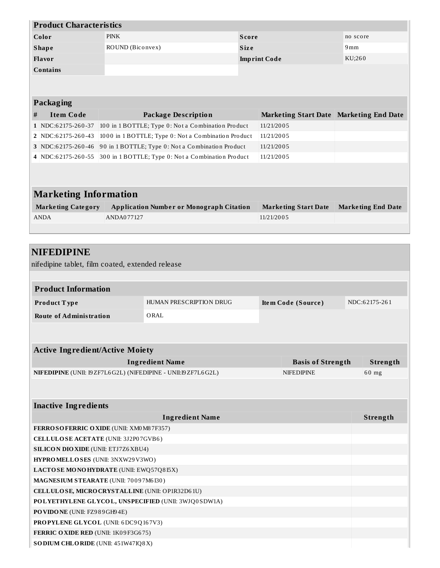| <b>Product Characteristics</b> |                  |                     |          |  |  |
|--------------------------------|------------------|---------------------|----------|--|--|
| Color                          | <b>PINK</b>      | <b>Score</b>        | no score |  |  |
| <b>Shape</b>                   | ROUND (Biconvex) | <b>Size</b>         | 9mm      |  |  |
| <b>Flavor</b>                  |                  | <b>Imprint Code</b> | KU;260   |  |  |
| <b>Contains</b>                |                  |                     |          |  |  |
|                                |                  |                     |          |  |  |

|                              | Packaging                 |                                                     |                                         |                           |  |  |
|------------------------------|---------------------------|-----------------------------------------------------|-----------------------------------------|---------------------------|--|--|
| #                            | <b>Item Code</b>          | Package Description                                 | Marketing Start Date Marketing End Date |                           |  |  |
|                              | 1 NDC:62175-260-37        | 100 in 1 BOTTLE; Type 0: Not a Combination Product  | 11/21/2005                              |                           |  |  |
|                              | 2 NDC:62175-260-43        | 1000 in 1 BOTTLE; Type 0: Not a Combination Product | 11/21/2005                              |                           |  |  |
|                              | $3$ NDC:62175-260-46      | 90 in 1 BOTTLE; Type 0: Not a Combination Product   | 11/21/2005                              |                           |  |  |
|                              | 4 NDC:62175-260-55        | 300 in 1 BOTTLE; Type 0: Not a Combination Product  | 11/21/2005                              |                           |  |  |
|                              |                           |                                                     |                                         |                           |  |  |
|                              |                           |                                                     |                                         |                           |  |  |
| <b>Marketing Information</b> |                           |                                                     |                                         |                           |  |  |
|                              | <b>Marketing Category</b> | <b>Application Number or Monograph Citation</b>     | <b>Marketing Start Date</b>             | <b>Marketing End Date</b> |  |  |
|                              | <b>ANDA</b>               | ANDA077127                                          | 11/21/2005                              |                           |  |  |

| <b>NIFEDIPINE</b> |  |
|-------------------|--|
|-------------------|--|

nifedipine tablet, film coated, extended release

| <b>Product Information</b>     |                         |                    |               |  |  |
|--------------------------------|-------------------------|--------------------|---------------|--|--|
| Product Type                   | HUMAN PRESCRIPTION DRUG | Item Code (Source) | NDC:62175-261 |  |  |
| <b>Route of Administration</b> | ORAL                    |                    |               |  |  |

| <b>Active Ingredient/Active Moiety</b>                           |                          |          |  |  |
|------------------------------------------------------------------|--------------------------|----------|--|--|
| <b>Ingredient Name</b>                                           | <b>Basis of Strength</b> | Strength |  |  |
| NIFEDIPINE (UNII: 19 ZF7L6 G2L) (NIFEDIPINE - UNII:19 ZF7L6 G2L) | <b>NIFEDIPINE</b>        | $60$ mg  |  |  |
|                                                                  |                          |          |  |  |

| <b>Inactive Ingredients</b>                         |          |  |  |
|-----------------------------------------------------|----------|--|--|
| <b>Ingredient Name</b>                              | Strength |  |  |
| <b>FERROSOFERRIC OXIDE (UNII: XMOM87F357)</b>       |          |  |  |
| <b>CELLULOSE ACETATE (UNII: 3J2P07GVB6)</b>         |          |  |  |
| <b>SILICON DIO XIDE (UNII: ETJ7Z6XBU4)</b>          |          |  |  |
| <b>HYPROMELLOSES</b> (UNII: 3NXW29V3WO)             |          |  |  |
| <b>LACTOSE MONOHYDRATE</b> (UNII: EWQ57Q8I5X)       |          |  |  |
| <b>MAGNESIUM STEARATE (UNII: 70097M6I30)</b>        |          |  |  |
| CELLULOSE, MICRO CRYSTALLINE (UNII: OP1R32D61U)     |          |  |  |
| POLYETHYLENE GLYCOL, UNSPECIFIED (UNII: 3WJQ0SDW1A) |          |  |  |
| <b>PO VIDO NE</b> (UNII: FZ989GH94E)                |          |  |  |
| <b>PROPYLENE GLYCOL (UNII: 6DC9Q167V3)</b>          |          |  |  |
| <b>FERRIC OXIDE RED (UNII: 1K09F3G675)</b>          |          |  |  |
| <b>SODIUM CHLORIDE</b> (UNII: 451W47IQ8X)           |          |  |  |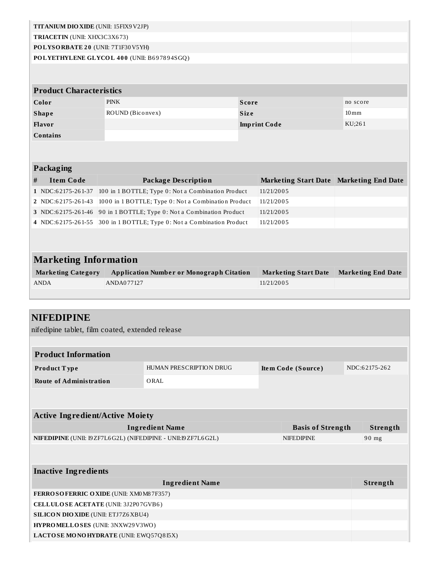| TITANIUM DIO XIDE (UNII: 15FIX9V2JP) |                                                     |                     |                             |                           |
|--------------------------------------|-----------------------------------------------------|---------------------|-----------------------------|---------------------------|
| TRIACETIN (UNII: XHX3C3X673)         |                                                     |                     |                             |                           |
| POLYSORBATE 20 (UNII: 7T1F30V5YH)    |                                                     |                     |                             |                           |
|                                      | POLYETHYLENE GLYCOL 400 (UNII: B697894SGQ)          |                     |                             |                           |
|                                      |                                                     |                     |                             |                           |
|                                      |                                                     |                     |                             |                           |
| <b>Product Characteristics</b>       |                                                     |                     |                             |                           |
| Color                                | <b>PINK</b>                                         | <b>Score</b>        |                             | no score                  |
| <b>Shape</b>                         | ROUND (Biconvex)                                    | <b>Size</b>         |                             | $10 \,\mathrm{mm}$        |
| <b>Flavor</b>                        |                                                     | <b>Imprint Code</b> |                             | KU;261                    |
| Contains                             |                                                     |                     |                             |                           |
|                                      |                                                     |                     |                             |                           |
|                                      |                                                     |                     |                             |                           |
| <b>Packaging</b>                     |                                                     |                     |                             |                           |
| #<br><b>Item Code</b>                | <b>Package Description</b>                          |                     | <b>Marketing Start Date</b> | <b>Marketing End Date</b> |
| 1 NDC:62175-261-37                   | 100 in 1 BOTTLE; Type 0: Not a Combination Product  |                     | 11/21/2005                  |                           |
| 2 NDC:62175-261-43                   | 1000 in 1 BOTTLE; Type 0: Not a Combination Product |                     | 11/21/2005                  |                           |
| 3 NDC:62175-261-46                   | 90 in 1 BOTTLE; Type 0: Not a Combination Product   |                     | 11/21/2005                  |                           |
| 4 NDC:62175-261-55                   | 300 in 1 BOTTLE; Type 0: Not a Combination Product  |                     | 11/21/2005                  |                           |
|                                      |                                                     |                     |                             |                           |
|                                      |                                                     |                     |                             |                           |
| <b>Marketing Information</b>         |                                                     |                     |                             |                           |
| <b>Marketing Category</b>            | <b>Application Number or Monograph Citation</b>     |                     | <b>Marketing Start Date</b> | <b>Marketing End Date</b> |
| <b>ANDA</b>                          | ANDA077127                                          |                     | 11/21/2005                  |                           |
|                                      |                                                     |                     |                             |                           |
|                                      |                                                     |                     |                             |                           |

nifedipine tablet, film coated, extended release

| <b>Product Information</b>     |                         |                    |               |  |  |
|--------------------------------|-------------------------|--------------------|---------------|--|--|
| Product Type                   | HUMAN PRESCRIPTION DRUG | Item Code (Source) | NDC:62175-262 |  |  |
| <b>Route of Administration</b> | ORAL                    |                    |               |  |  |

| <b>Active Ingredient/Active Moiety</b>                                  |                          |          |  |  |  |
|-------------------------------------------------------------------------|--------------------------|----------|--|--|--|
| Ingredient Name                                                         | <b>Basis of Strength</b> | Strength |  |  |  |
| <b>NIFEDIPINE</b> (UNII: 19 ZF7L6 G2L) (NIFEDIPINE - UNII:19 ZF7L6 G2L) | NIFEDIPINE               | $90$ mg  |  |  |  |

| <b>Inactive Ingredients</b>                   |          |  |  |  |
|-----------------------------------------------|----------|--|--|--|
| <b>Ingredient Name</b>                        | Strength |  |  |  |
| <b>FERROSOFERRIC OXIDE (UNII: XMOM87F357)</b> |          |  |  |  |
| CELLULOSE ACETATE (UNII: 3J2P07GVB6)          |          |  |  |  |
| <b>SILICON DIO XIDE (UNII: ETJ7Z6XBU4)</b>    |          |  |  |  |
| HYPROMELLOSES (UNII: 3NXW29V3WO)              |          |  |  |  |
| LACTOSE MONOHYDRATE (UNII: EWQ57Q815X)        |          |  |  |  |